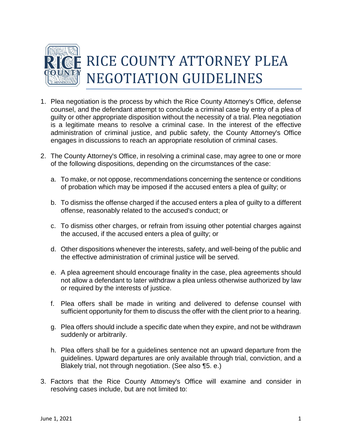

- 1. Plea negotiation is the process by which the Rice County Attorney's Office, defense counsel, and the defendant attempt to conclude a criminal case by entry of a plea of guilty or other appropriate disposition without the necessity of a trial. Plea negotiation is a legitimate means to resolve a criminal case. In the interest of the effective administration of criminal justice, and public safety, the County Attorney's Office engages in discussions to reach an appropriate resolution of criminal cases.
- 2. The County Attorney's Office, in resolving a criminal case, may agree to one or more of the following dispositions, depending on the circumstances of the case:
	- a. To make, or not oppose, recommendations concerning the sentence or conditions of probation which may be imposed if the accused enters a plea of guilty; or
	- b. To dismiss the offense charged if the accused enters a plea of guilty to a different offense, reasonably related to the accused's conduct; or
	- c. To dismiss other charges, or refrain from issuing other potential charges against the accused, if the accused enters a plea of guilty; or
	- d. Other dispositions whenever the interests, safety, and well-being of the public and the effective administration of criminal justice will be served.
	- e. A plea agreement should encourage finality in the case, plea agreements should not allow a defendant to later withdraw a plea unless otherwise authorized by law or required by the interests of justice.
	- f. Plea offers shall be made in writing and delivered to defense counsel with sufficient opportunity for them to discuss the offer with the client prior to a hearing.
	- g. Plea offers should include a specific date when they expire, and not be withdrawn suddenly or arbitrarily.
	- h. Plea offers shall be for a guidelines sentence not an upward departure from the guidelines. Upward departures are only available through trial, conviction, and a Blakely trial, not through negotiation. (See also ¶5. e.)
- 3. Factors that the Rice County Attorney's Office will examine and consider in resolving cases include, but are not limited to: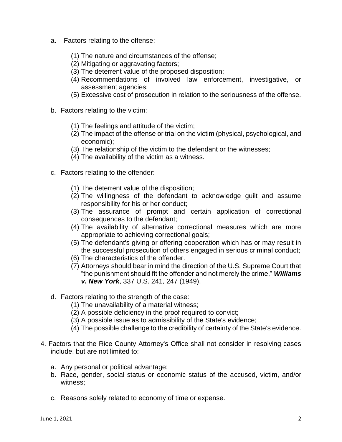- a. Factors relating to the offense:
	- (1) The nature and circumstances of the offense;
	- (2) Mitigating or aggravating factors;
	- (3) The deterrent value of the proposed disposition;
	- (4) Recommendations of involved law enforcement, investigative, or assessment agencies;
	- (5) Excessive cost of prosecution in relation to the seriousness of the offense.
- b. Factors relating to the victim:
	- (1) The feelings and attitude of the victim;
	- (2) The impact of the offense or trial on the victim (physical, psychological, and economic);
	- (3) The relationship of the victim to the defendant or the witnesses;
	- (4) The availability of the victim as a witness.
- c. Factors relating to the offender:
	- (1) The deterrent value of the disposition;
	- (2) The willingness of the defendant to acknowledge guilt and assume responsibility for his or her conduct;
	- (3) The assurance of prompt and certain application of correctional consequences to the defendant;
	- (4) The availability of alternative correctional measures which are more appropriate to achieving correctional goals;
	- (5) The defendant's giving or offering cooperation which has or may result in the successful prosecution of others engaged in serious criminal conduct;
	- (6) The characteristics of the offender.
	- (7) Attorneys should bear in mind the direction of the U.S. Supreme Court that "the punishment should fit the offender and not merely the crime," *Williams v. New York*, 337 U.S. 241, 247 (1949).
- d. Factors relating to the strength of the case:
	- (1) The unavailability of a material witness;
	- (2) A possible deficiency in the proof required to convict;
	- (3) A possible issue as to admissibility of the State's evidence;
	- (4) The possible challenge to the credibility of certainty of the State's evidence.
- 4. Factors that the Rice County Attorney's Office shall not consider in resolving cases include, but are not limited to:
	- a. Any personal or political advantage;
	- b. Race, gender, social status or economic status of the accused, victim, and/or witness;
	- c. Reasons solely related to economy of time or expense.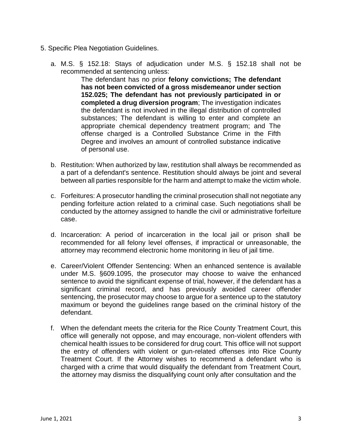- 5. Specific Plea Negotiation Guidelines.
	- a. M.S. § 152.18: Stays of adjudication under M.S. § 152.18 shall not be recommended at sentencing unless:

The defendant has no prior **felony convictions; The defendant has not been convicted of a gross misdemeanor under section 152.025; The defendant has not previously participated in or completed a drug diversion program**; The investigation indicates the defendant is not involved in the illegal distribution of controlled substances; The defendant is willing to enter and complete an appropriate chemical dependency treatment program; and The offense charged is a Controlled Substance Crime in the Fifth Degree and involves an amount of controlled substance indicative of personal use.

- b. Restitution: When authorized by law, restitution shall always be recommended as a part of a defendant's sentence. Restitution should always be joint and several between all parties responsible for the harm and attempt to make the victim whole.
- c. Forfeitures: A prosecutor handling the criminal prosecution shall not negotiate any pending forfeiture action related to a criminal case. Such negotiations shall be conducted by the attorney assigned to handle the civil or administrative forfeiture case.
- d. Incarceration: A period of incarceration in the local jail or prison shall be recommended for all felony level offenses, if impractical or unreasonable, the attorney may recommend electronic home monitoring in lieu of jail time.
- e. Career/Violent Offender Sentencing: When an enhanced sentence is available under M.S. §609.1095, the prosecutor may choose to waive the enhanced sentence to avoid the significant expense of trial, however, if the defendant has a significant criminal record, and has previously avoided career offender sentencing, the prosecutor may choose to argue for a sentence up to the statutory maximum or beyond the guidelines range based on the criminal history of the defendant.
- f. When the defendant meets the criteria for the Rice County Treatment Court, this office will generally not oppose, and may encourage, non-violent offenders with chemical health issues to be considered for drug court. This office will not support the entry of offenders with violent or gun-related offenses into Rice County Treatment Court. If the Attorney wishes to recommend a defendant who is charged with a crime that would disqualify the defendant from Treatment Court, the attorney may dismiss the disqualifying count only after consultation and the